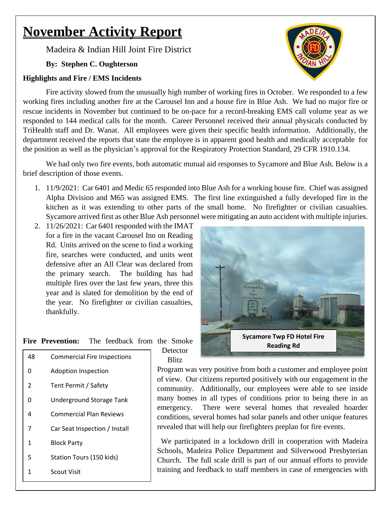# **November Activity Report**

Madeira & Indian Hill Joint Fire District

# **By: Stephen C. Oughterson**

## **Highlights and Fire / EMS Incidents**

Fire activity slowed from the unusually high number of working fires in October. We responded to a few working fires including another fire at the Carousel Inn and a house fire in Blue Ash. We had no major fire or rescue incidents in November but continued to be on-pace for a record-breaking EMS call volume year as we responded to 144 medical calls for the month. Career Personnel received their annual physicals conducted by TriHealth staff and Dr. Wanat. All employees were given their specific health information. Additionally, the department received the reports that state the employee is in apparent good health and medically acceptable for the position as well as the physician's approval for the Respiratory Protection Standard, 29 CFR 1910.134.

We had only two fire events, both automatic mutual aid responses to Sycamore and Blue Ash. Below is a brief description of those events.

- 1. 11/9/2021: Car 6401 and Medic 65 responded into Blue Ash for a working house fire. Chief was assigned Alpha Division and M65 was assigned EMS. The first line extinguished a fully developed fire in the kitchen as it was extending to other parts of the small home. No firefighter or civilian casualties. Sycamore arrived first as other Blue Ash personnel were mitigating an auto accident with multiple injuries.
- 2. 11/26/2021: Car 6401 responded with the IMAT for a fire in the vacant Carousel Inn on Reading Rd. Units arrived on the scene to find a working fire, searches were conducted, and units went defensive after an All Clear was declared from the primary search. The building has had multiple fires over the last few years, three this year and is slated for demolition by the end of the year. No firefighter or civilian casualties, thankfully.

| <b>Fire Prevention:</b> | The feedback from the Smoke |  |  |
|-------------------------|-----------------------------|--|--|

 Commercial Fire Inspections Adoption Inspection Tent Permit / Safety Underground Storage Tank Commercial Plan Reviews Car Seat Inspection / Install Block Party Station Tours (150 kids) Scout Visit

Detector **Blitz** 

Program was very positive from both a customer and employee point of view. Our citizens reported positively with our engagement in the community. Additionally, our employees were able to see inside many homes in all types of conditions prior to being there in an emergency. There were several homes that revealed hoarder conditions, several homes had solar panels and other unique features revealed that will help our firefighters preplan for fire events.

We participated in a lockdown drill in cooperation with Madeira Schools, Madeira Police Department and Silverwood Presbyterian Church. The full scale drill is part of our annual efforts to provide training and feedback to staff members in case of emergencies with



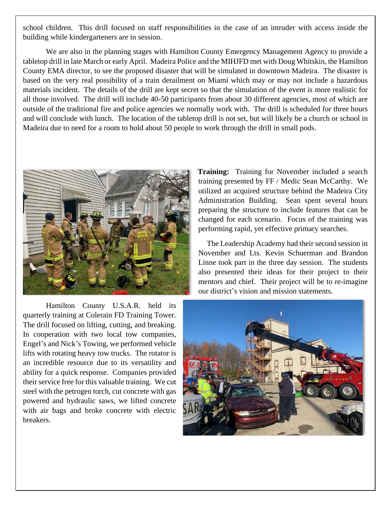school children. This drill focused on staff responsibilities in the case of an intruder with access inside the building while kindergarteners are in session.

We are also in the planning stages with Hamilton County Emergency Management Agency to provide a tabletop drill in late March or early April. Madeira Police and the MIHJFD met with Doug Whitskin, the Hamilton County EMA director, to see the proposed disaster that will be simulated in downtown Madeira. The disaster is based on the very real possibility of a train derailment on Miami which may or may not include a hazardous materials incident. The details of the drill are kept secret so that the simulation of the event is more realistic for all those involved. The drill will include 40-50 participants from about 30 different agencies, most of which are outside of the traditional fire and police agencies we normally work with. The drill is scheduled for three hours and will conclude with lunch. The location of the tabletop drill is not set, but will likely be a church or school in Madeira due to need for a room to hold about 50 people to work through the drill in small pods.



Hamilton County U.S.A.R. held its quarterly training at Colerain FD Training Tower. The drill focused on lifting, cutting, and breaking. In cooperation with two local tow companies, Engel's and Nick's Towing, we performed vehicle lifts with rotating heavy tow trucks. The rotator is an incredible resource due to its versatility and ability for a quick response. Companies provided their service free for this valuable training. We cut steel with the petrogen torch, cut concrete with gas powered and hydraulic saws, we lifted concrete with air bags and broke concrete with electric breakers.

**Training:** Training for November included a search training presented by FF / Medic Sean McCarthy. We utilized an acquired structure behind the Madeira City Administration Building. Sean spent several hours preparing the structure to include features that can be changed for each scenario. Focus of the training was performing rapid, yet effective primary searches.

The Leadership Academy had their second session in November and Lts. Kevin Schuerman and Brandon Linne took part in the three day session. The students also presented their ideas for their project to their mentors and chief. Their project will be to re-imagine our district's vision and mission statements.

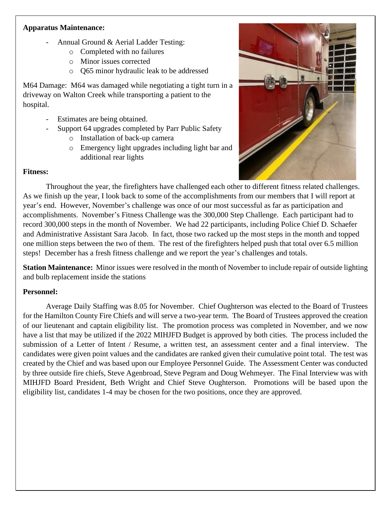#### **Apparatus Maintenance:**

- Annual Ground & Aerial Ladder Testing:
	- o Completed with no failures
	- o Minor issues corrected
	- o Q65 minor hydraulic leak to be addressed

M64 Damage: M64 was damaged while negotiating a tight turn in a driveway on Walton Creek while transporting a patient to the hospital.

- Estimates are being obtained.
- Support 64 upgrades completed by Parr Public Safety
	- o Installation of back-up camera
	- o Emergency light upgrades including light bar and additional rear lights

#### **Fitness:**



Throughout the year, the firefighters have challenged each other to different fitness related challenges. As we finish up the year, I look back to some of the accomplishments from our members that I will report at year's end. However, November's challenge was once of our most successful as far as participation and accomplishments. November's Fitness Challenge was the 300,000 Step Challenge. Each participant had to record 300,000 steps in the month of November. We had 22 participants, including Police Chief D. Schaefer and Administrative Assistant Sara Jacob. In fact, those two racked up the most steps in the month and topped one million steps between the two of them. The rest of the firefighters helped push that total over 6.5 million steps! December has a fresh fitness challenge and we report the year's challenges and totals.

**Station Maintenance:** Minor issues were resolved in the month of November to include repair of outside lighting and bulb replacement inside the stations

## **Personnel:**

Average Daily Staffing was 8.05 for November. Chief Oughterson was elected to the Board of Trustees for the Hamilton County Fire Chiefs and will serve a two-year term. The Board of Trustees approved the creation of our lieutenant and captain eligibility list. The promotion process was completed in November, and we now have a list that may be utilized if the 2022 MIHJFD Budget is approved by both cities. The process included the submission of a Letter of Intent / Resume, a written test, an assessment center and a final interview. The candidates were given point values and the candidates are ranked given their cumulative point total. The test was created by the Chief and was based upon our Employee Personnel Guide. The Assessment Center was conducted by three outside fire chiefs, Steve Agenbroad, Steve Pegram and Doug Wehmeyer. The Final Interview was with MIHJFD Board President, Beth Wright and Chief Steve Oughterson. Promotions will be based upon the eligibility list, candidates 1-4 may be chosen for the two positions, once they are approved.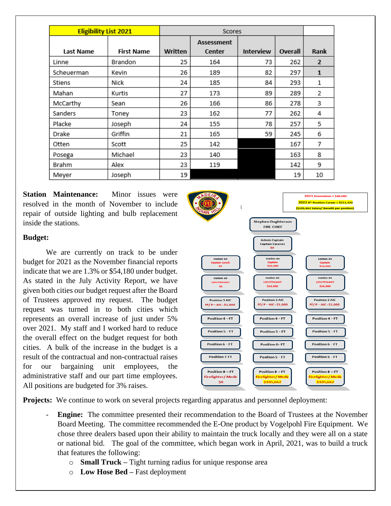| <b>Eligibility List 2021</b> |                   |         |                   |                  |         |                |
|------------------------------|-------------------|---------|-------------------|------------------|---------|----------------|
|                              |                   |         | <b>Assessment</b> |                  |         |                |
| Last Name                    | <b>First Name</b> | Written | Center            | <b>Interview</b> | Overall | Rank           |
| Linne                        | Brandon           | 25      | 164               | 73               | 262     | $\overline{2}$ |
| Scheuerman                   | Kevin             | 26      | 189               | 82               | 297     | $\mathbf{1}$   |
| Stiens                       | Nick              | 24      | 185               | 84               | 293     | 1              |
| Mahan                        | Kurtis            | 27      | 173               | 89               | 289     | 2              |
| McCarthy                     | Sean              | 26      | 166               | 86               | 278     | 3              |
| Sanders                      | Toney             | 23      | 162               | 77               | 262     | 4              |
| Placke                       | Joseph            | 24      | 155               | 78               | 257     | 5              |
| Drake                        | Griffin           | 21      | 165               | 59               | 245     | 6              |
| Otten                        | Scott             | 25      | 142               |                  | 167     | 7              |
| Posega                       | Michael           | 23      | 140               |                  | 163     | 8              |
| Brahm                        | Alex              | 23      | 119               |                  | 142     | 9              |
| Meyer                        | Joseph            | 19      |                   |                  | 19      | 10             |

**Station Maintenance:** Minor issues were resolved in the month of November to include repair of outside lighting and bulb replacement inside the stations.

#### **Budget:**

We are currently on track to be under budget for 2021 as the November financial reports indicate that we are 1.3% or \$54,180 under budget. As stated in the July Activity Report, we have given both cities our budget request after the Board of Trustees approved my request. The budget request was turned in to both cities which represents an overall increase of just under 5% over 2021. My staff and I worked hard to reduce the overall effect on the budget request for both cities. A bulk of the increase in the budget is a result of the contractual and non-contractual raises for our bargaining unit employees, the administrative staff and our part time employees. All positions are budgeted for 3% raises.



**Projects:** We continue to work on several projects regarding apparatus and personnel deployment:

- **Engine:** The committee presented their recommendation to the Board of Trustees at the November Board Meeting. The committee recommended the E-One product by Vogelpohl Fire Equipment. We chose three dealers based upon their ability to maintain the truck locally and they were all on a state or national bid. The goal of the committee, which began work in April, 2021, was to build a truck that features the following:
	- o **Small Truck –** Tight turning radius for unique response area
	- o **Low Hose Bed –** Fast deployment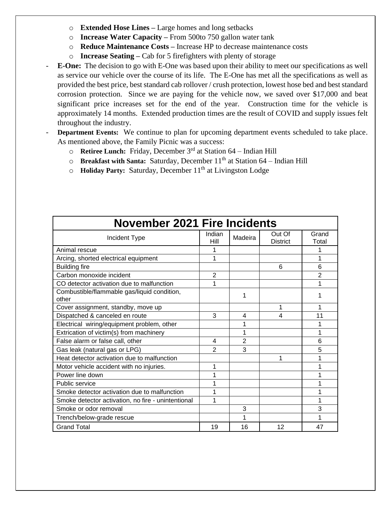- o **Extended Hose Lines –** Large homes and long setbacks
- o **Increase Water Capacity –** From 500to 750 gallon water tank
- o **Reduce Maintenance Costs –** Increase HP to decrease maintenance costs
- o **Increase Seating –** Cab for 5 firefighters with plenty of storage
- **E-One:** The decision to go with E-One was based upon their ability to meet our specifications as well as service our vehicle over the course of its life. The E-One has met all the specifications as well as provided the best price, best standard cab rollover / crush protection, lowest hose bed and best standard corrosion protection. Since we are paying for the vehicle now, we saved over \$17,000 and beat significant price increases set for the end of the year. Construction time for the vehicle is approximately 14 months. Extended production times are the result of COVID and supply issues felt throughout the industry.
- **Department Events:** We continue to plan for upcoming department events scheduled to take place. As mentioned above, the Family Picnic was a success:
	- o **Retiree Lunch:** Friday, December 3rd at Station 64 Indian Hill
	- o **Breakfast with Santa:** Saturday, December 11<sup>th</sup> at Station 64 Indian Hill
	- o **Holiday Party:** Saturday, December 11<sup>th</sup> at Livingston Lodge

| <b>November 2021 Fire Incidents</b>                  |                |                |                           |                |  |  |  |  |  |  |  |  |
|------------------------------------------------------|----------------|----------------|---------------------------|----------------|--|--|--|--|--|--|--|--|
| Incident Type                                        | Indian<br>Hill | Madeira        | Out Of<br><b>District</b> | Grand<br>Total |  |  |  |  |  |  |  |  |
| Animal rescue                                        |                |                |                           | 1              |  |  |  |  |  |  |  |  |
| Arcing, shorted electrical equipment                 | 1              |                |                           | 1              |  |  |  |  |  |  |  |  |
| <b>Building fire</b>                                 |                |                | 6                         | 6              |  |  |  |  |  |  |  |  |
| Carbon monoxide incident                             | $\overline{2}$ |                |                           | $\overline{2}$ |  |  |  |  |  |  |  |  |
| CO detector activation due to malfunction            | 1              |                |                           | 1              |  |  |  |  |  |  |  |  |
| Combustible/flammable gas/liquid condition,<br>other |                | 1              |                           | 1              |  |  |  |  |  |  |  |  |
| Cover assignment, standby, move up                   |                |                | 1                         | 1              |  |  |  |  |  |  |  |  |
| Dispatched & canceled en route                       | 3              | 4              | 4                         | 11             |  |  |  |  |  |  |  |  |
| Electrical wiring/equipment problem, other           |                | 1              |                           | 1              |  |  |  |  |  |  |  |  |
| Extrication of victim(s) from machinery              |                | 1              |                           | 1              |  |  |  |  |  |  |  |  |
| False alarm or false call, other                     | 4              | $\overline{2}$ |                           | 6              |  |  |  |  |  |  |  |  |
| Gas leak (natural gas or LPG)                        | $\overline{2}$ | 3              |                           | 5              |  |  |  |  |  |  |  |  |
| Heat detector activation due to malfunction          |                |                | 1                         | 1              |  |  |  |  |  |  |  |  |
| Motor vehicle accident with no injuries.             | 1              |                |                           | 1              |  |  |  |  |  |  |  |  |
| Power line down                                      |                |                |                           |                |  |  |  |  |  |  |  |  |
| Public service                                       |                |                |                           | 1              |  |  |  |  |  |  |  |  |
| Smoke detector activation due to malfunction         |                |                |                           | 1              |  |  |  |  |  |  |  |  |
| Smoke detector activation, no fire - unintentional   | 1              |                |                           | 1              |  |  |  |  |  |  |  |  |
| Smoke or odor removal                                |                | 3              |                           | 3              |  |  |  |  |  |  |  |  |
| Trench/below-grade rescue                            |                | 1              |                           | 1              |  |  |  |  |  |  |  |  |
| <b>Grand Total</b>                                   | 19             | 16             | 12                        | 47             |  |  |  |  |  |  |  |  |